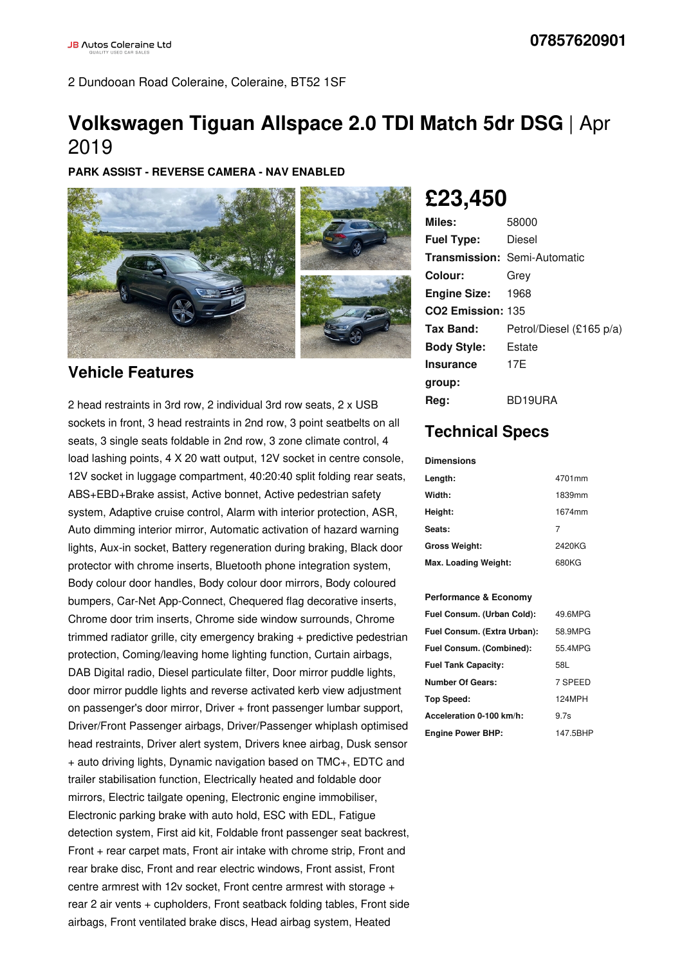2 Dundooan Road Coleraine, Coleraine, BT52 1SF

# **Volkswagen Tiguan Allspace 2.0 TDI Match 5dr DSG** | Apr 2019

**PARK ASSIST - REVERSE CAMERA - NAV ENABLED**



## **Vehicle Features**

2 head restraints in 3rd row, 2 individual 3rd row seats, 2 x USB sockets in front, 3 head restraints in 2nd row, 3 point seatbelts on all seats, 3 single seats foldable in 2nd row, 3 zone climate control, 4 load lashing points, 4 X 20 watt output, 12V socket in centre console, 12V socket in luggage compartment, 40:20:40 split folding rear seats, ABS+EBD+Brake assist, Active bonnet, Active pedestrian safety system, Adaptive cruise control, Alarm with interior protection, ASR, Auto dimming interior mirror, Automatic activation of hazard warning lights, Aux-in socket, Battery regeneration during braking, Black door protector with chrome inserts, Bluetooth phone integration system, Body colour door handles, Body colour door mirrors, Body coloured bumpers, Car-Net App-Connect, Chequered flag decorative inserts, Chrome door trim inserts, Chrome side window surrounds, Chrome trimmed radiator grille, city emergency braking + predictive pedestrian protection, Coming/leaving home lighting function, Curtain airbags, DAB Digital radio, Diesel particulate filter, Door mirror puddle lights, door mirror puddle lights and reverse activated kerb view adjustment on passenger's door mirror, Driver + front passenger lumbar support, Driver/Front Passenger airbags, Driver/Passenger whiplash optimised head restraints, Driver alert system, Drivers knee airbag, Dusk sensor + auto driving lights, Dynamic navigation based on TMC+, EDTC and trailer stabilisation function, Electrically heated and foldable door mirrors, Electric tailgate opening, Electronic engine immobiliser, Electronic parking brake with auto hold, ESC with EDL, Fatigue detection system, First aid kit, Foldable front passenger seat backrest, Front + rear carpet mats, Front air intake with chrome strip, Front and rear brake disc, Front and rear electric windows, Front assist, Front centre armrest with 12v socket, Front centre armrest with storage + rear 2 air vents + cupholders, Front seatback folding tables, Front side airbags, Front ventilated brake discs, Head airbag system, Heated

# **£23,450**

| Miles:                        | 58000                               |
|-------------------------------|-------------------------------------|
| <b>Fuel Type:</b>             | Diesel                              |
|                               | <b>Transmission: Semi-Automatic</b> |
| Colour:                       | Grev                                |
| <b>Engine Size:</b>           | 1968                                |
| CO <sub>2</sub> Emission: 135 |                                     |
| Tax Band:                     | Petrol/Diesel (£165 p/a)            |
| <b>Body Style:</b>            | Estate                              |
| <b>Insurance</b>              | 17F                                 |
| group:                        |                                     |
| Reg:                          | BD19URA                             |

## **Technical Specs**

**Dimensions**

| Length:              | 4701mm |
|----------------------|--------|
| Width:               | 1839mm |
| Height:              | 1674mm |
| Seats:               | 7      |
| <b>Gross Weight:</b> | 2420KG |
| Max. Loading Weight: | 680KG  |

#### **Performance & Economy**

| Fuel Consum. (Urban Cold):  | 49.6MPG  |
|-----------------------------|----------|
| Fuel Consum. (Extra Urban): | 58.9MPG  |
| Fuel Consum. (Combined):    | 55.4MPG  |
| <b>Fuel Tank Capacity:</b>  | 58L      |
| Number Of Gears:            | 7 SPEED  |
| Top Speed:                  | 124MPH   |
| Acceleration 0-100 km/h:    | 97s      |
| <b>Engine Power BHP:</b>    | 147.5BHP |